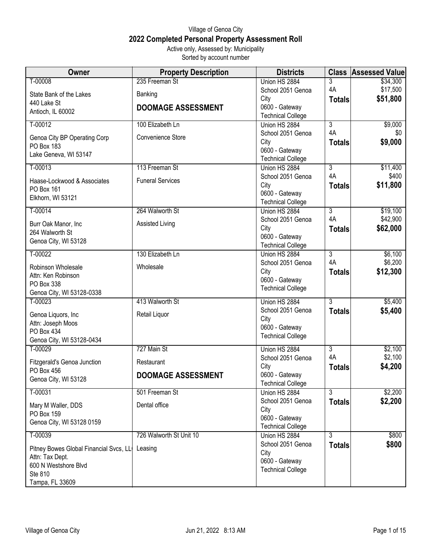## Village of Genoa City **2022 Completed Personal Property Assessment Roll** Active only, Assessed by: Municipality

Sorted by account number

| <b>Owner</b>                              | <b>Property Description</b> | <b>Districts</b>                          |                | <b>Class Assessed Value</b> |
|-------------------------------------------|-----------------------------|-------------------------------------------|----------------|-----------------------------|
| T-00008                                   | 235 Freeman St              | Union HS 2884                             | 3              | \$34,300                    |
| State Bank of the Lakes                   | Banking                     | School 2051 Genoa                         | 4A             | \$17,500                    |
| 440 Lake St                               |                             | City                                      | <b>Totals</b>  | \$51,800                    |
| Antioch, IL 60002                         | <b>DOOMAGE ASSESSMENT</b>   | 0600 - Gateway                            |                |                             |
| $T-00012$                                 | 100 Elizabeth Ln            | <b>Technical College</b><br>Union HS 2884 | $\overline{3}$ | \$9,000                     |
|                                           |                             | School 2051 Genoa                         | 4A             | \$0                         |
| Genoa City BP Operating Corp              | Convenience Store           | City                                      | <b>Totals</b>  | \$9,000                     |
| PO Box 183                                |                             | 0600 - Gateway                            |                |                             |
| Lake Geneva, WI 53147                     |                             | <b>Technical College</b>                  |                |                             |
| $T-00013$                                 | 113 Freeman St              | Union HS 2884                             | 3              | \$11,400                    |
|                                           |                             | School 2051 Genoa                         | 4A             | \$400                       |
| Haase-Lockwood & Associates<br>PO Box 161 | <b>Funeral Services</b>     | City                                      | <b>Totals</b>  | \$11,800                    |
| Elkhorn, WI 53121                         |                             | 0600 - Gateway                            |                |                             |
|                                           |                             | <b>Technical College</b>                  |                |                             |
| T-00014                                   | 264 Walworth St             | Union HS 2884                             | $\overline{3}$ | \$19,100                    |
| Burr Oak Manor, Inc                       | Assisted Living             | School 2051 Genoa                         | 4A             | \$42,900                    |
| 264 Walworth St                           |                             | City                                      | <b>Totals</b>  | \$62,000                    |
| Genoa City, WI 53128                      |                             | 0600 - Gateway                            |                |                             |
| T-00022                                   | 130 Elizabeth Ln            | <b>Technical College</b><br>Union HS 2884 | $\overline{3}$ | \$6,100                     |
|                                           |                             | School 2051 Genoa                         | 4A             | \$6,200                     |
| Robinson Wholesale                        | Wholesale                   | City                                      | <b>Totals</b>  | \$12,300                    |
| Attn: Ken Robinson                        |                             | 0600 - Gateway                            |                |                             |
| PO Box 338                                |                             | <b>Technical College</b>                  |                |                             |
| Genoa City, WI 53128-0338                 |                             |                                           |                |                             |
| $T-00023$                                 | 413 Walworth St             | Union HS 2884                             | $\overline{3}$ | \$5,400                     |
| Genoa Liquors, Inc                        | Retail Liquor               | School 2051 Genoa<br>City                 | <b>Totals</b>  | \$5,400                     |
| Attn: Joseph Moos                         |                             | 0600 - Gateway                            |                |                             |
| PO Box 434                                |                             | <b>Technical College</b>                  |                |                             |
| Genoa City, WI 53128-0434                 |                             |                                           |                |                             |
| T-00029                                   | 727 Main St                 | Union HS 2884                             | $\overline{3}$ | \$2,100                     |
| Fitzgerald's Genoa Junction               | Restaurant                  | School 2051 Genoa                         | 4A             | \$2,100<br>\$4,200          |
| PO Box 456                                | <b>DOOMAGE ASSESSMENT</b>   | City<br>0600 - Gateway                    | <b>Totals</b>  |                             |
| Genoa City, WI 53128                      |                             | <b>Technical College</b>                  |                |                             |
| $T-00031$                                 | 501 Freeman St              | Union HS 2884                             | 3              | \$2,200                     |
| Mary M Waller, DDS                        | Dental office               | School 2051 Genoa                         | <b>Totals</b>  | \$2,200                     |
| PO Box 159                                |                             | City                                      |                |                             |
| Genoa City, WI 53128 0159                 |                             | 0600 - Gateway                            |                |                             |
|                                           |                             | <b>Technical College</b>                  |                |                             |
| T-00039                                   | 726 Walworth St Unit 10     | Union HS 2884                             | 3              | \$800                       |
| Pitney Bowes Global Financial Svcs, LL    | Leasing                     | School 2051 Genoa                         | <b>Totals</b>  | \$800                       |
| Attn: Tax Dept.                           |                             | City<br>0600 - Gateway                    |                |                             |
| 600 N Westshore Blvd                      |                             | <b>Technical College</b>                  |                |                             |
| Ste 810                                   |                             |                                           |                |                             |
| Tampa, FL 33609                           |                             |                                           |                |                             |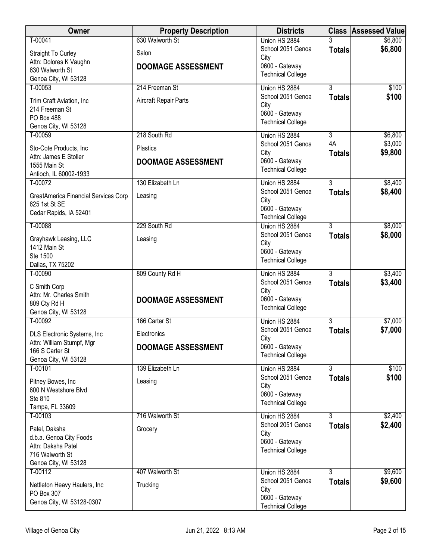| Owner                                     | <b>Property Description</b> | <b>Districts</b>          |                | <b>Class Assessed Value</b> |
|-------------------------------------------|-----------------------------|---------------------------|----------------|-----------------------------|
| T-00041                                   | 630 Walworth St             | Union HS 2884             |                | \$6,800                     |
| <b>Straight To Curley</b>                 | Salon                       | School 2051 Genoa<br>City | <b>Totals</b>  | \$6,800                     |
| Attn: Dolores K Vaughn<br>630 Walworth St | <b>DOOMAGE ASSESSMENT</b>   | 0600 - Gateway            |                |                             |
| Genoa City, WI 53128                      |                             | <b>Technical College</b>  |                |                             |
| T-00053                                   | 214 Freeman St              | Union HS 2884             | 3              | \$100                       |
| Trim Craft Aviation, Inc                  | Aircraft Repair Parts       | School 2051 Genoa<br>City | <b>Totals</b>  | \$100                       |
| 214 Freeman St                            |                             | 0600 - Gateway            |                |                             |
| PO Box 488<br>Genoa City, WI 53128        |                             | <b>Technical College</b>  |                |                             |
| T-00059                                   | 218 South Rd                | Union HS 2884             | 3              | \$6,800                     |
| Sto-Cote Products, Inc                    | Plastics                    | School 2051 Genoa         | 4A             | \$3,000                     |
| Attn: James E Stoller                     | <b>DOOMAGE ASSESSMENT</b>   | City<br>0600 - Gateway    | <b>Totals</b>  | \$9,800                     |
| 1555 Main St<br>Antioch, IL 60002-1933    |                             | <b>Technical College</b>  |                |                             |
| $T-00072$                                 | 130 Elizabeth Ln            | Union HS 2884             | $\overline{3}$ | \$8,400                     |
| GreatAmerica Financial Services Corp      | Leasing                     | School 2051 Genoa         | <b>Totals</b>  | \$8,400                     |
| 625 1st St SE                             |                             | City<br>0600 - Gateway    |                |                             |
| Cedar Rapids, IA 52401                    |                             | <b>Technical College</b>  |                |                             |
| T-00088                                   | 229 South Rd                | Union HS 2884             | 3              | \$8,000                     |
| Grayhawk Leasing, LLC                     | Leasing                     | School 2051 Genoa<br>City | <b>Totals</b>  | \$8,000                     |
| 1412 Main St                              |                             | 0600 - Gateway            |                |                             |
| Ste 1500<br>Dallas, TX 75202              |                             | <b>Technical College</b>  |                |                             |
| T-00090                                   | 809 County Rd H             | Union HS 2884             | $\overline{3}$ | \$3,400                     |
| C Smith Corp                              |                             | School 2051 Genoa         | <b>Totals</b>  | \$3,400                     |
| Attn: Mr. Charles Smith                   | <b>DOOMAGE ASSESSMENT</b>   | City<br>0600 - Gateway    |                |                             |
| 809 Cty Rd H<br>Genoa City, WI 53128      |                             | <b>Technical College</b>  |                |                             |
| T-00092                                   | 166 Carter St               | Union HS 2884             | 3              | \$7,000                     |
| DLS Electronic Systems, Inc               | Electronics                 | School 2051 Genoa         | <b>Totals</b>  | \$7,000                     |
| Attn: William Stumpf, Mgr                 | <b>DOOMAGE ASSESSMENT</b>   | City<br>0600 - Gateway    |                |                             |
| 166 S Carter St<br>Genoa City, WI 53128   |                             | <b>Technical College</b>  |                |                             |
| T-00101                                   | 139 Elizabeth Ln            | Union HS 2884             | 3              | \$100                       |
| Pitney Bowes, Inc                         | Leasing                     | School 2051 Genoa         | <b>Totals</b>  | \$100                       |
| 600 N Westshore Blvd                      |                             | City<br>0600 - Gateway    |                |                             |
| Ste 810<br>Tampa, FL 33609                |                             | <b>Technical College</b>  |                |                             |
| T-00103                                   | 716 Walworth St             | Union HS 2884             | $\overline{3}$ | \$2,400                     |
| Patel, Daksha                             | Grocery                     | School 2051 Genoa         | <b>Totals</b>  | \$2,400                     |
| d.b.a. Genoa City Foods                   |                             | City<br>0600 - Gateway    |                |                             |
| Attn: Daksha Patel                        |                             | <b>Technical College</b>  |                |                             |
| 716 Walworth St<br>Genoa City, WI 53128   |                             |                           |                |                             |
| $T-00112$                                 | 407 Walworth St             | Union HS 2884             | 3              | \$9,600                     |
| Nettleton Heavy Haulers, Inc              | Trucking                    | School 2051 Genoa         | <b>Totals</b>  | \$9,600                     |
| PO Box 307                                |                             | City<br>0600 - Gateway    |                |                             |
| Genoa City, WI 53128-0307                 |                             | <b>Technical College</b>  |                |                             |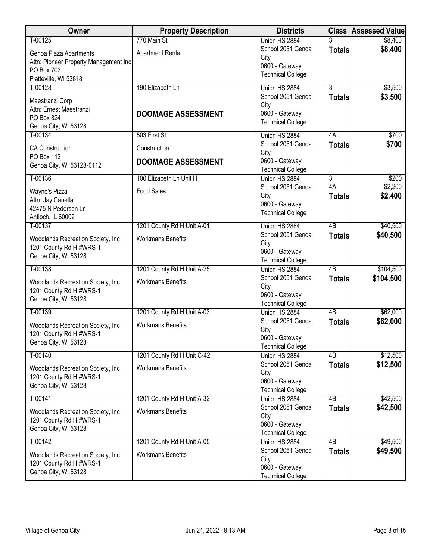| <b>Owner</b>                                                                                            | <b>Property Description</b>                  | <b>Districts</b>                                                                         |                                       | <b>Class Assessed Value</b> |
|---------------------------------------------------------------------------------------------------------|----------------------------------------------|------------------------------------------------------------------------------------------|---------------------------------------|-----------------------------|
| T-00125                                                                                                 | 770 Main St                                  | Union HS 2884                                                                            | 3                                     | \$8,400                     |
| Genoa Plaza Apartments<br>Attn: Pioneer Property Management Inc.<br>PO Box 703<br>Platteville, WI 53818 | <b>Apartment Rental</b>                      | School 2051 Genoa<br>City<br>0600 - Gateway<br><b>Technical College</b>                  | <b>Totals</b>                         | \$8,400                     |
| T-00128                                                                                                 | 190 Elizabeth Ln                             | Union HS 2884                                                                            | $\overline{3}$                        | \$3,500                     |
| Maestranzi Corp<br>Attn: Ernest Maestranzi<br>PO Box 824<br>Genoa City, WI 53128                        | <b>DOOMAGE ASSESSMENT</b>                    | School 2051 Genoa<br>City<br>0600 - Gateway<br><b>Technical College</b>                  | <b>Totals</b>                         | \$3,500                     |
| T-00134                                                                                                 | 503 First St                                 | Union HS 2884                                                                            | 4A                                    | \$700                       |
| <b>CA Construction</b><br>PO Box 112<br>Genoa City, WI 53128-0112                                       | Construction<br><b>DOOMAGE ASSESSMENT</b>    | School 2051 Genoa<br>City<br>0600 - Gateway                                              | <b>Totals</b>                         | \$700                       |
|                                                                                                         |                                              | <b>Technical College</b>                                                                 |                                       |                             |
| T-00136<br>Wayne's Pizza<br>Attn: Jay Canella<br>42475 N Pedersen Ln<br>Antioch, IL 60002               | 100 Elizabeth Ln Unit H<br><b>Food Sales</b> | Union HS 2884<br>School 2051 Genoa<br>City<br>0600 - Gateway<br><b>Technical College</b> | $\overline{3}$<br>4A<br><b>Totals</b> | \$200<br>\$2,200<br>\$2,400 |
| T-00137                                                                                                 | 1201 County Rd H Unit A-01                   | Union HS 2884                                                                            | 4B                                    | \$40,500                    |
| Woodlands Recreation Society, Inc.<br>1201 County Rd H #WRS-1<br>Genoa City, WI 53128                   | <b>Workmans Benefits</b>                     | School 2051 Genoa<br>City<br>0600 - Gateway<br><b>Technical College</b>                  | <b>Totals</b>                         | \$40,500                    |
| T-00138                                                                                                 | 1201 County Rd H Unit A-25                   | Union HS 2884                                                                            | 4B                                    | \$104,500                   |
| Woodlands Recreation Society, Inc<br>1201 County Rd H #WRS-1<br>Genoa City, WI 53128                    | <b>Workmans Benefits</b>                     | School 2051 Genoa<br>City<br>0600 - Gateway<br><b>Technical College</b>                  | <b>Totals</b>                         | \$104,500                   |
| T-00139                                                                                                 | 1201 County Rd H Unit A-03                   | Union HS 2884                                                                            | 4B                                    | \$62,000                    |
| Woodlands Recreation Society, Inc.<br>1201 County Rd H #WRS-1<br>Genoa City, WI 53128                   | <b>Workmans Benefits</b>                     | School 2051 Genoa<br>City<br>0600 - Gateway<br><b>Technical College</b>                  | <b>Totals</b>                         | \$62,000                    |
| T-00140                                                                                                 | 1201 County Rd H Unit C-42                   | Union HS 2884                                                                            | $\overline{AB}$                       | \$12,500                    |
| Woodlands Recreation Society, Inc.<br>1201 County Rd H #WRS-1<br>Genoa City, WI 53128                   | <b>Workmans Benefits</b>                     | School 2051 Genoa<br>City<br>0600 - Gateway<br><b>Technical College</b>                  | <b>Totals</b>                         | \$12,500                    |
| $T-00141$                                                                                               | 1201 County Rd H Unit A-32                   | Union HS 2884                                                                            | 4B                                    | \$42,500                    |
| Woodlands Recreation Society, Inc.<br>1201 County Rd H #WRS-1<br>Genoa City, WI 53128                   | <b>Workmans Benefits</b>                     | School 2051 Genoa<br>City<br>0600 - Gateway<br><b>Technical College</b>                  | <b>Totals</b>                         | \$42,500                    |
| T-00142                                                                                                 | 1201 County Rd H Unit A-05                   | Union HS 2884                                                                            | 4B                                    | \$49,500                    |
| Woodlands Recreation Society, Inc.<br>1201 County Rd H #WRS-1<br>Genoa City, WI 53128                   | <b>Workmans Benefits</b>                     | School 2051 Genoa<br>City<br>0600 - Gateway<br><b>Technical College</b>                  | <b>Totals</b>                         | \$49,500                    |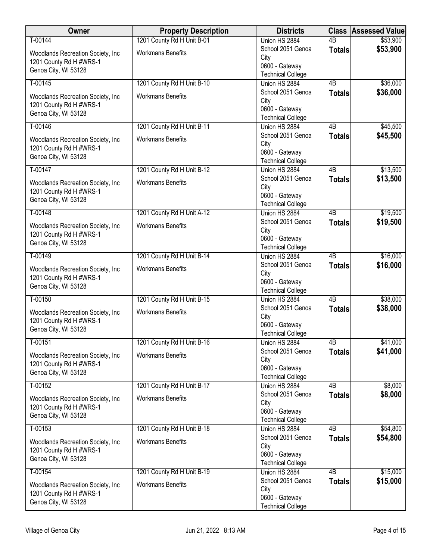| Owner                                                                                 | <b>Property Description</b> | <b>Districts</b>                                                        | <b>Class</b>    | <b>Assessed Value</b> |
|---------------------------------------------------------------------------------------|-----------------------------|-------------------------------------------------------------------------|-----------------|-----------------------|
| T-00144                                                                               | 1201 County Rd H Unit B-01  | Union HS 2884                                                           | $\overline{AB}$ | \$53,900              |
| Woodlands Recreation Society, Inc.<br>1201 County Rd H #WRS-1<br>Genoa City, WI 53128 | <b>Workmans Benefits</b>    | School 2051 Genoa<br>City<br>0600 - Gateway<br><b>Technical College</b> | <b>Totals</b>   | \$53,900              |
| T-00145                                                                               | 1201 County Rd H Unit B-10  | Union HS 2884                                                           | 4B              | \$36,000              |
| Woodlands Recreation Society, Inc<br>1201 County Rd H #WRS-1<br>Genoa City, WI 53128  | <b>Workmans Benefits</b>    | School 2051 Genoa<br>City<br>0600 - Gateway<br><b>Technical College</b> | <b>Totals</b>   | \$36,000              |
| T-00146                                                                               | 1201 County Rd H Unit B-11  | Union HS 2884                                                           | 4B              | \$45,500              |
| Woodlands Recreation Society, Inc.<br>1201 County Rd H #WRS-1<br>Genoa City, WI 53128 | <b>Workmans Benefits</b>    | School 2051 Genoa<br>City<br>0600 - Gateway<br><b>Technical College</b> | <b>Totals</b>   | \$45,500              |
| T-00147                                                                               | 1201 County Rd H Unit B-12  | Union HS 2884                                                           | 4 <sub>B</sub>  | \$13,500              |
| Woodlands Recreation Society, Inc.<br>1201 County Rd H #WRS-1<br>Genoa City, WI 53128 | <b>Workmans Benefits</b>    | School 2051 Genoa<br>City<br>0600 - Gateway<br><b>Technical College</b> | <b>Totals</b>   | \$13,500              |
| T-00148                                                                               | 1201 County Rd H Unit A-12  | Union HS 2884                                                           | 4B              | \$19,500              |
| Woodlands Recreation Society, Inc<br>1201 County Rd H #WRS-1<br>Genoa City, WI 53128  | <b>Workmans Benefits</b>    | School 2051 Genoa<br>City<br>0600 - Gateway<br><b>Technical College</b> | <b>Totals</b>   | \$19,500              |
| T-00149                                                                               | 1201 County Rd H Unit B-14  | Union HS 2884                                                           | $\overline{AB}$ | \$16,000              |
| Woodlands Recreation Society, Inc.<br>1201 County Rd H #WRS-1<br>Genoa City, WI 53128 | <b>Workmans Benefits</b>    | School 2051 Genoa<br>City<br>0600 - Gateway<br><b>Technical College</b> | <b>Totals</b>   | \$16,000              |
| T-00150                                                                               | 1201 County Rd H Unit B-15  | Union HS 2884                                                           | $\overline{AB}$ | \$38,000              |
| Woodlands Recreation Society, Inc<br>1201 County Rd H #WRS-1<br>Genoa City, WI 53128  | <b>Workmans Benefits</b>    | School 2051 Genoa<br>City<br>0600 - Gateway<br><b>Technical College</b> | <b>Totals</b>   | \$38,000              |
| T-00151                                                                               | 1201 County Rd H Unit B-16  | Union HS 2884                                                           | $\overline{AB}$ | \$41,000              |
| Woodlands Recreation Society, Inc.<br>1201 County Rd H #WRS-1<br>Genoa City, WI 53128 | <b>Workmans Benefits</b>    | School 2051 Genoa<br>City<br>0600 - Gateway<br><b>Technical College</b> | <b>Totals</b>   | \$41,000              |
| T-00152                                                                               | 1201 County Rd H Unit B-17  | Union HS 2884                                                           | 4B              | \$8,000               |
| Woodlands Recreation Society, Inc.<br>1201 County Rd H #WRS-1<br>Genoa City, WI 53128 | <b>Workmans Benefits</b>    | School 2051 Genoa<br>City<br>0600 - Gateway<br><b>Technical College</b> | <b>Totals</b>   | \$8,000               |
| T-00153                                                                               | 1201 County Rd H Unit B-18  | Union HS 2884                                                           | 4B              | \$54,800              |
| Woodlands Recreation Society, Inc.<br>1201 County Rd H #WRS-1<br>Genoa City, WI 53128 | <b>Workmans Benefits</b>    | School 2051 Genoa<br>City<br>0600 - Gateway<br><b>Technical College</b> | <b>Totals</b>   | \$54,800              |
| $T-00154$                                                                             | 1201 County Rd H Unit B-19  | Union HS 2884                                                           | 4B              | \$15,000              |
| Woodlands Recreation Society, Inc.<br>1201 County Rd H #WRS-1<br>Genoa City, WI 53128 | <b>Workmans Benefits</b>    | School 2051 Genoa<br>City<br>0600 - Gateway<br><b>Technical College</b> | <b>Totals</b>   | \$15,000              |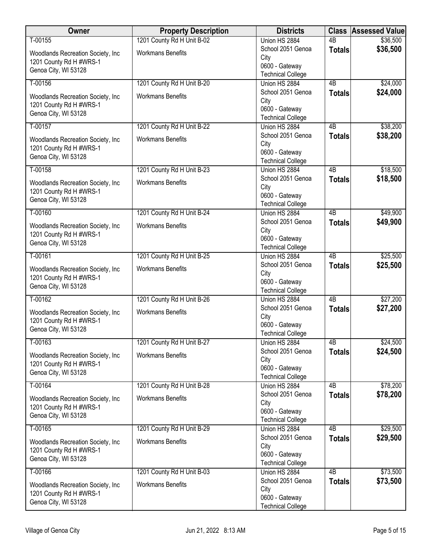| Owner                                                                                 | <b>Property Description</b> | <b>Districts</b>                                                        | <b>Class</b>    | <b>Assessed Value</b> |
|---------------------------------------------------------------------------------------|-----------------------------|-------------------------------------------------------------------------|-----------------|-----------------------|
| T-00155                                                                               | 1201 County Rd H Unit B-02  | Union HS 2884                                                           | $\overline{AB}$ | \$36,500              |
| Woodlands Recreation Society, Inc.<br>1201 County Rd H #WRS-1<br>Genoa City, WI 53128 | <b>Workmans Benefits</b>    | School 2051 Genoa<br>City<br>0600 - Gateway<br><b>Technical College</b> | <b>Totals</b>   | \$36,500              |
| T-00156                                                                               | 1201 County Rd H Unit B-20  | Union HS 2884                                                           | 4B              | \$24,000              |
| Woodlands Recreation Society, Inc<br>1201 County Rd H #WRS-1<br>Genoa City, WI 53128  | <b>Workmans Benefits</b>    | School 2051 Genoa<br>City<br>0600 - Gateway<br><b>Technical College</b> | <b>Totals</b>   | \$24,000              |
| T-00157                                                                               | 1201 County Rd H Unit B-22  | Union HS 2884                                                           | 4B              | \$38,200              |
| Woodlands Recreation Society, Inc.<br>1201 County Rd H #WRS-1<br>Genoa City, WI 53128 | <b>Workmans Benefits</b>    | School 2051 Genoa<br>City<br>0600 - Gateway<br><b>Technical College</b> | <b>Totals</b>   | \$38,200              |
| T-00158                                                                               | 1201 County Rd H Unit B-23  | Union HS 2884                                                           | 4 <sub>B</sub>  | \$18,500              |
| Woodlands Recreation Society, Inc.<br>1201 County Rd H #WRS-1<br>Genoa City, WI 53128 | <b>Workmans Benefits</b>    | School 2051 Genoa<br>City<br>0600 - Gateway<br><b>Technical College</b> | <b>Totals</b>   | \$18,500              |
| T-00160                                                                               | 1201 County Rd H Unit B-24  | Union HS 2884                                                           | 4B              | \$49,900              |
| Woodlands Recreation Society, Inc<br>1201 County Rd H #WRS-1<br>Genoa City, WI 53128  | <b>Workmans Benefits</b>    | School 2051 Genoa<br>City<br>0600 - Gateway<br><b>Technical College</b> | <b>Totals</b>   | \$49,900              |
| T-00161                                                                               | 1201 County Rd H Unit B-25  | Union HS 2884                                                           | $\overline{AB}$ | \$25,500              |
| Woodlands Recreation Society, Inc.<br>1201 County Rd H #WRS-1<br>Genoa City, WI 53128 | <b>Workmans Benefits</b>    | School 2051 Genoa<br>City<br>0600 - Gateway<br><b>Technical College</b> | <b>Totals</b>   | \$25,500              |
| T-00162                                                                               | 1201 County Rd H Unit B-26  | Union HS 2884                                                           | $\overline{AB}$ | \$27,200              |
| Woodlands Recreation Society, Inc<br>1201 County Rd H #WRS-1<br>Genoa City, WI 53128  | <b>Workmans Benefits</b>    | School 2051 Genoa<br>City<br>0600 - Gateway<br><b>Technical College</b> | <b>Totals</b>   | \$27,200              |
| T-00163                                                                               | 1201 County Rd H Unit B-27  | Union HS 2884                                                           | $\overline{AB}$ | \$24,500              |
| Woodlands Recreation Society, Inc.<br>1201 County Rd H #WRS-1<br>Genoa City, WI 53128 | <b>Workmans Benefits</b>    | School 2051 Genoa<br>City<br>0600 - Gateway<br><b>Technical College</b> | <b>Totals</b>   | \$24,500              |
| T-00164                                                                               | 1201 County Rd H Unit B-28  | Union HS 2884                                                           | 4B              | \$78,200              |
| Woodlands Recreation Society, Inc.<br>1201 County Rd H #WRS-1<br>Genoa City, WI 53128 | <b>Workmans Benefits</b>    | School 2051 Genoa<br>City<br>0600 - Gateway<br><b>Technical College</b> | <b>Totals</b>   | \$78,200              |
| T-00165                                                                               | 1201 County Rd H Unit B-29  | Union HS 2884                                                           | 4B              | \$29,500              |
| Woodlands Recreation Society, Inc.<br>1201 County Rd H #WRS-1<br>Genoa City, WI 53128 | <b>Workmans Benefits</b>    | School 2051 Genoa<br>City<br>0600 - Gateway<br><b>Technical College</b> | <b>Totals</b>   | \$29,500              |
| T-00166                                                                               | 1201 County Rd H Unit B-03  | Union HS 2884                                                           | 4B              | \$73,500              |
| Woodlands Recreation Society, Inc.<br>1201 County Rd H #WRS-1<br>Genoa City, WI 53128 | <b>Workmans Benefits</b>    | School 2051 Genoa<br>City<br>0600 - Gateway<br><b>Technical College</b> | <b>Totals</b>   | \$73,500              |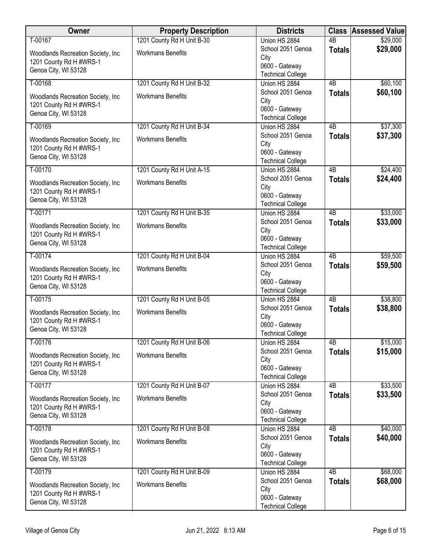| Owner                                                                                 | <b>Property Description</b> | <b>Districts</b>                                                        | <b>Class</b>    | <b>Assessed Value</b> |
|---------------------------------------------------------------------------------------|-----------------------------|-------------------------------------------------------------------------|-----------------|-----------------------|
| T-00167                                                                               | 1201 County Rd H Unit B-30  | Union HS 2884                                                           | $\overline{AB}$ | \$29,000              |
| Woodlands Recreation Society, Inc.<br>1201 County Rd H #WRS-1<br>Genoa City, WI 53128 | <b>Workmans Benefits</b>    | School 2051 Genoa<br>City<br>0600 - Gateway<br><b>Technical College</b> | <b>Totals</b>   | \$29,000              |
| T-00168                                                                               | 1201 County Rd H Unit B-32  | Union HS 2884                                                           | 4B              | \$60,100              |
| Woodlands Recreation Society, Inc<br>1201 County Rd H #WRS-1<br>Genoa City, WI 53128  | <b>Workmans Benefits</b>    | School 2051 Genoa<br>City<br>0600 - Gateway<br><b>Technical College</b> | <b>Totals</b>   | \$60,100              |
| T-00169                                                                               | 1201 County Rd H Unit B-34  | Union HS 2884                                                           | 4B              | \$37,300              |
| Woodlands Recreation Society, Inc.<br>1201 County Rd H #WRS-1<br>Genoa City, WI 53128 | <b>Workmans Benefits</b>    | School 2051 Genoa<br>City<br>0600 - Gateway<br><b>Technical College</b> | <b>Totals</b>   | \$37,300              |
| T-00170                                                                               | 1201 County Rd H Unit A-15  | Union HS 2884                                                           | 4 <sub>B</sub>  | \$24,400              |
| Woodlands Recreation Society, Inc.<br>1201 County Rd H #WRS-1<br>Genoa City, WI 53128 | <b>Workmans Benefits</b>    | School 2051 Genoa<br>City<br>0600 - Gateway<br><b>Technical College</b> | <b>Totals</b>   | \$24,400              |
| T-00171                                                                               | 1201 County Rd H Unit B-35  | Union HS 2884                                                           | 4B              | \$33,000              |
| Woodlands Recreation Society, Inc<br>1201 County Rd H #WRS-1<br>Genoa City, WI 53128  | <b>Workmans Benefits</b>    | School 2051 Genoa<br>City<br>0600 - Gateway<br><b>Technical College</b> | <b>Totals</b>   | \$33,000              |
| T-00174                                                                               | 1201 County Rd H Unit B-04  | Union HS 2884                                                           | $\overline{AB}$ | \$59,500              |
| Woodlands Recreation Society, Inc.<br>1201 County Rd H #WRS-1<br>Genoa City, WI 53128 | <b>Workmans Benefits</b>    | School 2051 Genoa<br>City<br>0600 - Gateway<br><b>Technical College</b> | <b>Totals</b>   | \$59,500              |
| $T-00175$                                                                             | 1201 County Rd H Unit B-05  | Union HS 2884                                                           | $\overline{AB}$ | \$38,800              |
| Woodlands Recreation Society, Inc<br>1201 County Rd H #WRS-1<br>Genoa City, WI 53128  | <b>Workmans Benefits</b>    | School 2051 Genoa<br>City<br>0600 - Gateway<br><b>Technical College</b> | <b>Totals</b>   | \$38,800              |
| T-00176                                                                               | 1201 County Rd H Unit B-06  | Union HS 2884                                                           | $\overline{AB}$ | \$15,000              |
| Woodlands Recreation Society, Inc.<br>1201 County Rd H #WRS-1<br>Genoa City, WI 53128 | <b>Workmans Benefits</b>    | School 2051 Genoa<br>City<br>0600 - Gateway<br><b>Technical College</b> | <b>Totals</b>   | \$15,000              |
| T-00177                                                                               | 1201 County Rd H Unit B-07  | Union HS 2884                                                           | 4B              | \$33,500              |
| Woodlands Recreation Society, Inc.<br>1201 County Rd H #WRS-1<br>Genoa City, WI 53128 | <b>Workmans Benefits</b>    | School 2051 Genoa<br>City<br>0600 - Gateway<br><b>Technical College</b> | <b>Totals</b>   | \$33,500              |
| T-00178                                                                               | 1201 County Rd H Unit B-08  | Union HS 2884                                                           | 4B              | \$40,000              |
| Woodlands Recreation Society, Inc.<br>1201 County Rd H #WRS-1<br>Genoa City, WI 53128 | <b>Workmans Benefits</b>    | School 2051 Genoa<br>City<br>0600 - Gateway<br><b>Technical College</b> | <b>Totals</b>   | \$40,000              |
| T-00179                                                                               | 1201 County Rd H Unit B-09  | Union HS 2884                                                           | 4B              | \$68,000              |
| Woodlands Recreation Society, Inc.<br>1201 County Rd H #WRS-1<br>Genoa City, WI 53128 | <b>Workmans Benefits</b>    | School 2051 Genoa<br>City<br>0600 - Gateway<br><b>Technical College</b> | <b>Totals</b>   | \$68,000              |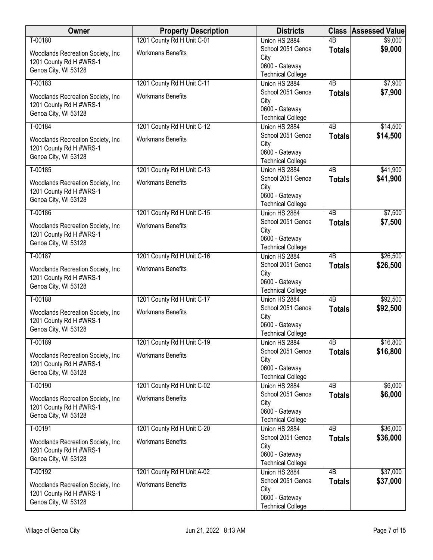| Owner                                                                                 | <b>Property Description</b> | <b>Districts</b>                                                        | <b>Class</b>    | <b>Assessed Value</b> |
|---------------------------------------------------------------------------------------|-----------------------------|-------------------------------------------------------------------------|-----------------|-----------------------|
| T-00180                                                                               | 1201 County Rd H Unit C-01  | Union HS 2884                                                           | $\overline{AB}$ | \$9,000               |
| Woodlands Recreation Society, Inc.<br>1201 County Rd H #WRS-1<br>Genoa City, WI 53128 | <b>Workmans Benefits</b>    | School 2051 Genoa<br>City<br>0600 - Gateway<br><b>Technical College</b> | <b>Totals</b>   | \$9,000               |
| T-00183                                                                               | 1201 County Rd H Unit C-11  | Union HS 2884                                                           | 4B              | \$7,900               |
| Woodlands Recreation Society, Inc<br>1201 County Rd H #WRS-1<br>Genoa City, WI 53128  | <b>Workmans Benefits</b>    | School 2051 Genoa<br>City<br>0600 - Gateway<br><b>Technical College</b> | <b>Totals</b>   | \$7,900               |
| T-00184                                                                               | 1201 County Rd H Unit C-12  | Union HS 2884                                                           | 4B              | \$14,500              |
| Woodlands Recreation Society, Inc.<br>1201 County Rd H #WRS-1<br>Genoa City, WI 53128 | <b>Workmans Benefits</b>    | School 2051 Genoa<br>City<br>0600 - Gateway<br><b>Technical College</b> | <b>Totals</b>   | \$14,500              |
| T-00185                                                                               | 1201 County Rd H Unit C-13  | Union HS 2884                                                           | 4 <sub>B</sub>  | \$41,900              |
| Woodlands Recreation Society, Inc.<br>1201 County Rd H #WRS-1<br>Genoa City, WI 53128 | <b>Workmans Benefits</b>    | School 2051 Genoa<br>City<br>0600 - Gateway<br><b>Technical College</b> | <b>Totals</b>   | \$41,900              |
| T-00186                                                                               | 1201 County Rd H Unit C-15  | Union HS 2884                                                           | 4B              | \$7,500               |
| Woodlands Recreation Society, Inc<br>1201 County Rd H #WRS-1<br>Genoa City, WI 53128  | <b>Workmans Benefits</b>    | School 2051 Genoa<br>City<br>0600 - Gateway<br><b>Technical College</b> | <b>Totals</b>   | \$7,500               |
| T-00187                                                                               | 1201 County Rd H Unit C-16  | Union HS 2884                                                           | $\overline{AB}$ | \$26,500              |
| Woodlands Recreation Society, Inc.<br>1201 County Rd H #WRS-1<br>Genoa City, WI 53128 | <b>Workmans Benefits</b>    | School 2051 Genoa<br>City<br>0600 - Gateway<br><b>Technical College</b> | <b>Totals</b>   | \$26,500              |
| T-00188                                                                               | 1201 County Rd H Unit C-17  | Union HS 2884                                                           | $\overline{AB}$ | \$92,500              |
| Woodlands Recreation Society, Inc<br>1201 County Rd H #WRS-1<br>Genoa City, WI 53128  | <b>Workmans Benefits</b>    | School 2051 Genoa<br>City<br>0600 - Gateway<br><b>Technical College</b> | <b>Totals</b>   | \$92,500              |
| T-00189                                                                               | 1201 County Rd H Unit C-19  | Union HS 2884                                                           | $\overline{AB}$ | \$16,800              |
| Woodlands Recreation Society, Inc.<br>1201 County Rd H #WRS-1<br>Genoa City, WI 53128 | <b>Workmans Benefits</b>    | School 2051 Genoa<br>City<br>0600 - Gateway<br><b>Technical College</b> | <b>Totals</b>   | \$16,800              |
| T-00190                                                                               | 1201 County Rd H Unit C-02  | Union HS 2884                                                           | 4B              | \$6,000               |
| Woodlands Recreation Society, Inc.<br>1201 County Rd H #WRS-1<br>Genoa City, WI 53128 | <b>Workmans Benefits</b>    | School 2051 Genoa<br>City<br>0600 - Gateway<br><b>Technical College</b> | <b>Totals</b>   | \$6,000               |
| T-00191                                                                               | 1201 County Rd H Unit C-20  | Union HS 2884                                                           | 4B              | \$36,000              |
| Woodlands Recreation Society, Inc.<br>1201 County Rd H #WRS-1<br>Genoa City, WI 53128 | <b>Workmans Benefits</b>    | School 2051 Genoa<br>City<br>0600 - Gateway<br><b>Technical College</b> | <b>Totals</b>   | \$36,000              |
| T-00192                                                                               | 1201 County Rd H Unit A-02  | Union HS 2884                                                           | 4B              | \$37,000              |
| Woodlands Recreation Society, Inc.<br>1201 County Rd H #WRS-1<br>Genoa City, WI 53128 | <b>Workmans Benefits</b>    | School 2051 Genoa<br>City<br>0600 - Gateway<br><b>Technical College</b> | <b>Totals</b>   | \$37,000              |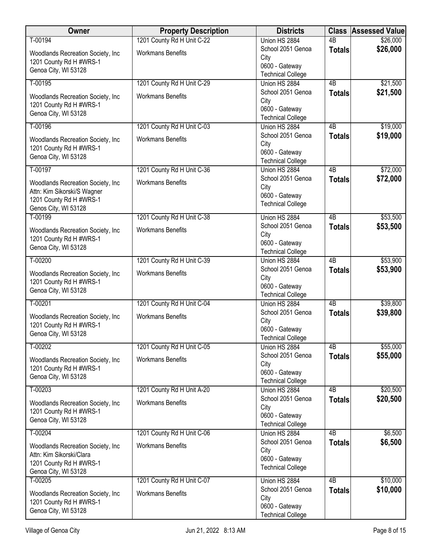| Owner                                                                                                                | <b>Property Description</b> | <b>Districts</b>                                                        | <b>Class</b>    | <b>Assessed Value</b> |
|----------------------------------------------------------------------------------------------------------------------|-----------------------------|-------------------------------------------------------------------------|-----------------|-----------------------|
| T-00194                                                                                                              | 1201 County Rd H Unit C-22  | Union HS 2884                                                           | $\overline{AB}$ | \$26,000              |
| Woodlands Recreation Society, Inc.<br>1201 County Rd H #WRS-1<br>Genoa City, WI 53128                                | <b>Workmans Benefits</b>    | School 2051 Genoa<br>City<br>0600 - Gateway                             | <b>Totals</b>   | \$26,000              |
| T-00195                                                                                                              | 1201 County Rd H Unit C-29  | <b>Technical College</b><br>Union HS 2884                               | $\overline{AB}$ | \$21,500              |
| Woodlands Recreation Society, Inc.<br>1201 County Rd H #WRS-1<br>Genoa City, WI 53128                                | <b>Workmans Benefits</b>    | School 2051 Genoa<br>City<br>0600 - Gateway<br><b>Technical College</b> | <b>Totals</b>   | \$21,500              |
| T-00196                                                                                                              | 1201 County Rd H Unit C-03  | Union HS 2884                                                           | 4B              | \$19,000              |
| Woodlands Recreation Society, Inc.<br>1201 County Rd H #WRS-1<br>Genoa City, WI 53128                                | <b>Workmans Benefits</b>    | School 2051 Genoa<br>City<br>0600 - Gateway<br><b>Technical College</b> | <b>Totals</b>   | \$19,000              |
| T-00197                                                                                                              | 1201 County Rd H Unit C-36  | Union HS 2884                                                           | 4 <sub>B</sub>  | \$72,000              |
| Woodlands Recreation Society, Inc.<br>Attn: Kim Sikorski/S Wagner<br>1201 County Rd H #WRS-1<br>Genos City, WI 53128 | <b>Workmans Benefits</b>    | School 2051 Genoa<br>City<br>0600 - Gateway<br><b>Technical College</b> | <b>Totals</b>   | \$72,000              |
| T-00199                                                                                                              | 1201 County Rd H Unit C-38  | Union HS 2884                                                           | $\overline{AB}$ | \$53,500              |
| Woodlands Recreation Society, Inc<br>1201 County Rd H #WRS-1<br>Genoa City, WI 53128                                 | <b>Workmans Benefits</b>    | School 2051 Genoa<br>City<br>0600 - Gateway<br><b>Technical College</b> | <b>Totals</b>   | \$53,500              |
| T-00200                                                                                                              | 1201 County Rd H Unit C-39  | Union HS 2884                                                           | 4 <sub>B</sub>  | \$53,900              |
| Woodlands Recreation Society, Inc<br>1201 County Rd H #WRS-1<br>Genoa City, WI 53128                                 | <b>Workmans Benefits</b>    | School 2051 Genoa<br>City<br>0600 - Gateway<br><b>Technical College</b> | <b>Totals</b>   | \$53,900              |
| T-00201                                                                                                              | 1201 County Rd H Unit C-04  | Union HS 2884                                                           | $\overline{AB}$ | \$39,800              |
| Woodlands Recreation Society, Inc.<br>1201 County Rd H #WRS-1<br>Genoa City, WI 53128                                | <b>Workmans Benefits</b>    | School 2051 Genoa<br>City<br>0600 - Gateway<br><b>Technical College</b> | <b>Totals</b>   | \$39,800              |
| T-00202                                                                                                              | 1201 County Rd H Unit C-05  | Union HS 2884                                                           | 4B              | \$55,000              |
| Woodlands Recreation Society, Inc.<br>1201 County Rd H #WRS-1<br>Genoa City, WI 53128                                | <b>Workmans Benefits</b>    | School 2051 Genoa<br>City<br>0600 - Gateway<br><b>Technical College</b> | <b>Totals</b>   | \$55,000              |
| T-00203                                                                                                              | 1201 County Rd H Unit A-20  | Union HS 2884                                                           | 4B              | \$20,500              |
| Woodlands Recreation Society, Inc.<br>1201 County Rd H #WRS-1<br>Genoa City, WI 53128                                | <b>Workmans Benefits</b>    | School 2051 Genoa<br>City<br>0600 - Gateway<br><b>Technical College</b> | <b>Totals</b>   | \$20,500              |
| T-00204                                                                                                              | 1201 County Rd H Unit C-06  | Union HS 2884                                                           | 4B              | \$6,500               |
| Woodlands Recreation Society, Inc.<br>Attn: Kim Sikorski/Clara<br>1201 County Rd H #WRS-1<br>Genoa City, WI 53128    | <b>Workmans Benefits</b>    | School 2051 Genoa<br>City<br>0600 - Gateway<br><b>Technical College</b> | <b>Totals</b>   | \$6,500               |
| T-00205                                                                                                              | 1201 County Rd H Unit C-07  | Union HS 2884<br>School 2051 Genoa                                      | $\overline{AB}$ | \$10,000<br>\$10,000  |
| Woodlands Recreation Society, Inc.<br>1201 County Rd H #WRS-1<br>Genoa City, WI 53128                                | <b>Workmans Benefits</b>    | City<br>0600 - Gateway<br><b>Technical College</b>                      | <b>Totals</b>   |                       |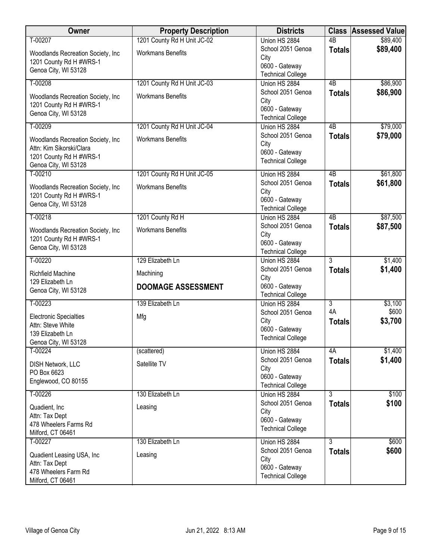| Owner                                                                                                             | <b>Property Description</b>            | <b>Districts</b>                                                        | <b>Class</b>        | <b>Assessed Value</b> |
|-------------------------------------------------------------------------------------------------------------------|----------------------------------------|-------------------------------------------------------------------------|---------------------|-----------------------|
| T-00207                                                                                                           | 1201 County Rd H Unit JC-02            | Union HS 2884                                                           | $\overline{AB}$     | \$89,400              |
| Woodlands Recreation Society, Inc.<br>1201 County Rd H #WRS-1<br>Genoa City, WI 53128                             | <b>Workmans Benefits</b>               | School 2051 Genoa<br>City<br>0600 - Gateway<br><b>Technical College</b> | <b>Totals</b>       | \$89,400              |
| T-00208                                                                                                           | 1201 County Rd H Unit JC-03            | Union HS 2884                                                           | 4B                  | \$86,900              |
| Woodlands Recreation Society, Inc.<br>1201 County Rd H #WRS-1<br>Genoa City, WI 53128                             | <b>Workmans Benefits</b>               | School 2051 Genoa<br>City<br>0600 - Gateway<br><b>Technical College</b> | <b>Totals</b>       | \$86,900              |
| T-00209                                                                                                           | 1201 County Rd H Unit JC-04            | Union HS 2884                                                           | 4B                  | \$79,000              |
| Woodlands Recreation Society, Inc.<br>Attn: Kim Sikorski/Clara<br>1201 County Rd H #WRS-1<br>Genoa City, WI 53128 | <b>Workmans Benefits</b>               | School 2051 Genoa<br>City<br>0600 - Gateway<br><b>Technical College</b> | <b>Totals</b>       | \$79,000              |
| T-00210                                                                                                           | 1201 County Rd H Unit JC-05            | Union HS 2884                                                           | $\overline{AB}$     | \$61,800              |
| Woodlands Recreation Society, Inc<br>1201 County Rd H #WRS-1<br>Genoa City, WI 53128                              | <b>Workmans Benefits</b>               | School 2051 Genoa<br>City<br>0600 - Gateway<br><b>Technical College</b> | <b>Totals</b>       | \$61,800              |
| T-00218                                                                                                           | 1201 County Rd H                       | Union HS 2884                                                           | $\overline{AB}$     | \$87,500              |
| Woodlands Recreation Society, Inc.<br>1201 County Rd H #WRS-1<br>Genoa City, WI 53128                             | <b>Workmans Benefits</b>               | School 2051 Genoa<br>City<br>0600 - Gateway<br><b>Technical College</b> | <b>Totals</b>       | \$87,500              |
| T-00220                                                                                                           | 129 Elizabeth Ln                       | Union HS 2884                                                           | 3                   | \$1,400               |
| Richfield Machine<br>129 Elizabeth Ln<br>Genoa City, WI 53128                                                     | Machining<br><b>DOOMAGE ASSESSMENT</b> | School 2051 Genoa<br>City<br>0600 - Gateway<br><b>Technical College</b> | <b>Totals</b>       | \$1,400               |
| T-00223                                                                                                           | 139 Elizabeth Ln                       | Union HS 2884                                                           | 3                   | \$3,100               |
| <b>Electronic Specialties</b><br>Attn: Steve White<br>139 Elizabeth Ln<br>Genoa City, WI 53128                    | Mfg                                    | School 2051 Genoa<br>City<br>0600 - Gateway<br><b>Technical College</b> | 4A<br><b>Totals</b> | \$600<br>\$3,700      |
| T-00224                                                                                                           | (scattered)                            | Union HS 2884                                                           | 4A                  | \$1,400               |
| <b>DISH Network, LLC</b><br>PO Box 6623<br>Englewood, CO 80155                                                    | Satellite TV                           | School 2051 Genoa<br>City<br>0600 - Gateway<br><b>Technical College</b> | <b>Totals</b>       | \$1,400               |
| T-00226                                                                                                           | 130 Elizabeth Ln                       | Union HS 2884                                                           | $\overline{3}$      | \$100                 |
| Quadient, Inc.<br>Attn: Tax Dept<br>478 Wheelers Farms Rd<br>Milford, CT 06461                                    | Leasing                                | School 2051 Genoa<br>City<br>0600 - Gateway<br><b>Technical College</b> | <b>Totals</b>       | \$100                 |
| T-00227                                                                                                           | 130 Elizabeth Ln                       | Union HS 2884                                                           | $\overline{3}$      | \$600                 |
| Quadient Leasing USA, Inc<br>Attn: Tax Dept<br>478 Wheelers Farm Rd<br>Milford, CT 06461                          | Leasing                                | School 2051 Genoa<br>City<br>0600 - Gateway<br><b>Technical College</b> | <b>Totals</b>       | \$600                 |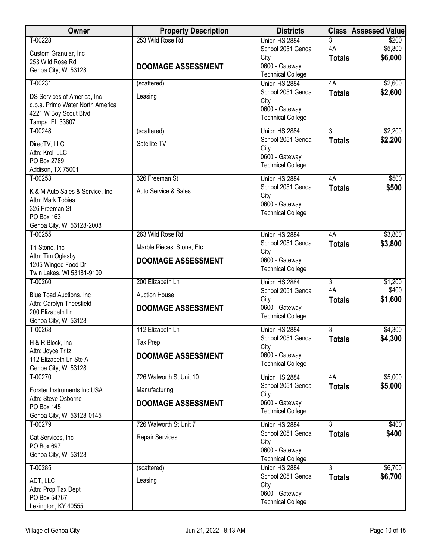| Owner                                    | <b>Property Description</b> | <b>Districts</b>                           |                     | <b>Class Assessed Value</b> |
|------------------------------------------|-----------------------------|--------------------------------------------|---------------------|-----------------------------|
| T-00228                                  | 253 Wild Rose Rd            | Union HS 2884                              | 3                   | \$200                       |
| Custom Granular, Inc                     |                             | School 2051 Genoa                          | 4A                  | \$5,800                     |
| 253 Wild Rose Rd                         | <b>DOOMAGE ASSESSMENT</b>   | City<br>0600 - Gateway                     | <b>Totals</b>       | \$6,000                     |
| Genoa City, WI 53128                     |                             | <b>Technical College</b>                   |                     |                             |
| $T-00231$                                | (scattered)                 | Union HS 2884                              | 4A                  | \$2,600                     |
| DS Services of America, Inc.             | Leasing                     | School 2051 Genoa                          | <b>Totals</b>       | \$2,600                     |
| d.b.a. Primo Water North America         |                             | City                                       |                     |                             |
| 4221 W Boy Scout Blvd                    |                             | 0600 - Gateway                             |                     |                             |
| Tampa, FL 33607                          |                             | <b>Technical College</b>                   |                     |                             |
| T-00248                                  | (scattered)                 | Union HS 2884                              | $\overline{3}$      | \$2,200                     |
| DirecTV, LLC                             | Satellite TV                | School 2051 Genoa                          | <b>Totals</b>       | \$2,200                     |
| Attn: Kroll LLC                          |                             | City<br>0600 - Gateway                     |                     |                             |
| PO Box 2789                              |                             | <b>Technical College</b>                   |                     |                             |
| Addison, TX 75001                        |                             |                                            |                     |                             |
| T-00253                                  | 326 Freeman St              | Union HS 2884<br>School 2051 Genoa         | 4A                  | \$500<br>\$500              |
| K & M Auto Sales & Service, Inc          | Auto Service & Sales        | City                                       | <b>Totals</b>       |                             |
| Attn: Mark Tobias                        |                             | 0600 - Gateway                             |                     |                             |
| 326 Freeman St<br>PO Box 163             |                             | <b>Technical College</b>                   |                     |                             |
| Genoa City, WI 53128-2008                |                             |                                            |                     |                             |
| $T-00255$                                | 263 Wild Rose Rd            | Union HS 2884                              | 4A                  | \$3,800                     |
| Tri-Stone, Inc                           | Marble Pieces, Stone, Etc.  | School 2051 Genoa                          | <b>Totals</b>       | \$3,800                     |
| Attn: Tim Oglesby                        |                             | City                                       |                     |                             |
| 1205 Winged Food Dr                      | <b>DOOMAGE ASSESSMENT</b>   | 0600 - Gateway<br><b>Technical College</b> |                     |                             |
| Twin Lakes, WI 53181-9109                |                             |                                            |                     |                             |
| T-00260                                  | 200 Elizabeth Ln            | Union HS 2884                              | $\overline{3}$      | \$1,200                     |
| <b>Blue Toad Auctions, Inc.</b>          | <b>Auction House</b>        | School 2051 Genoa<br>City                  | 4A<br><b>Totals</b> | \$400<br>\$1,600            |
| Attn: Carolyn Theesfield                 | <b>DOOMAGE ASSESSMENT</b>   | 0600 - Gateway                             |                     |                             |
| 200 Elizabeth Ln<br>Genoa City, WI 53128 |                             | <b>Technical College</b>                   |                     |                             |
| T-00268                                  | 112 Elizabeth Ln            | Union HS 2884                              | 3                   | \$4,300                     |
|                                          |                             | School 2051 Genoa                          | <b>Totals</b>       | \$4,300                     |
| H & R Block, Inc<br>Attn: Joyce Tritz    | Tax Prep                    | City                                       |                     |                             |
| 112 Elizabeth Ln Ste A                   | <b>DOOMAGE ASSESSMENT</b>   | 0600 - Gateway                             |                     |                             |
| Genoa City, WI 53128                     |                             | <b>Technical College</b>                   |                     |                             |
| T-00270                                  | 726 Walworth St Unit 10     | Union HS 2884                              | 4A                  | \$5,000                     |
| Forster Instruments Inc USA              | Manufacturing               | School 2051 Genoa                          | <b>Totals</b>       | \$5,000                     |
| Attn: Steve Osborne                      |                             | City<br>0600 - Gateway                     |                     |                             |
| PO Box 145                               | <b>DOOMAGE ASSESSMENT</b>   | <b>Technical College</b>                   |                     |                             |
| Genoa City, WI 53128-0145                |                             |                                            |                     |                             |
| T-00279                                  | 726 Walworth St Unit 7      | Union HS 2884<br>School 2051 Genoa         | $\overline{3}$      | \$400<br>\$400              |
| Cat Services, Inc                        | Repair Services             | City                                       | <b>Totals</b>       |                             |
| PO Box 697                               |                             | 0600 - Gateway                             |                     |                             |
| Genoa City, WI 53128                     |                             | <b>Technical College</b>                   |                     |                             |
| $T-00285$                                | (scattered)                 | Union HS 2884                              | $\overline{3}$      | \$6,700                     |
| ADT, LLC                                 | Leasing                     | School 2051 Genoa                          | <b>Totals</b>       | \$6,700                     |
| Attn: Prop Tax Dept                      |                             | City<br>0600 - Gateway                     |                     |                             |
| PO Box 54767                             |                             | <b>Technical College</b>                   |                     |                             |
| Lexington, KY 40555                      |                             |                                            |                     |                             |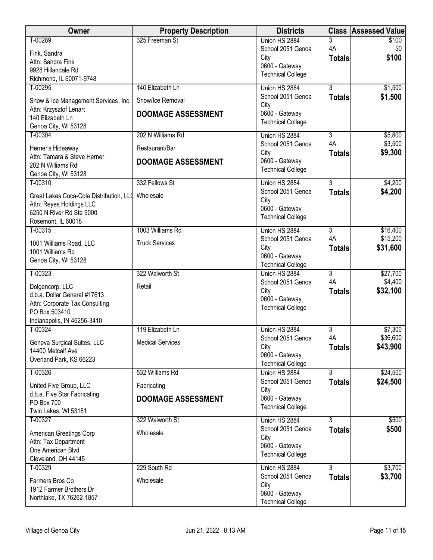| <b>Owner</b>                                                   | <b>Property Description</b> | <b>Districts</b>                           |                      | <b>Class Assessed Value</b> |
|----------------------------------------------------------------|-----------------------------|--------------------------------------------|----------------------|-----------------------------|
| T-00289                                                        | 325 Freeman St              | Union HS 2884<br>School 2051 Genoa         | 3<br>4A              | \$100<br>\$0                |
| Fink, Sandra                                                   |                             | City                                       | <b>Totals</b>        | \$100                       |
| Attn: Sandra Fink<br>9928 Hillandale Rd                        |                             | 0600 - Gateway                             |                      |                             |
| Richmond, IL 60071-9748                                        |                             | <b>Technical College</b>                   |                      |                             |
| T-00295                                                        | 140 Elizabeth Ln            | Union HS 2884                              | $\overline{3}$       | \$1,500                     |
| Snow & Ice Management Services, Inc                            | Snow/Ice Removal            | School 2051 Genoa<br>City                  | <b>Totals</b>        | \$1,500                     |
| Attn: Krzysztof Lenart<br>140 Elizabeth Ln                     | <b>DOOMAGE ASSESSMENT</b>   | 0600 - Gateway                             |                      |                             |
| Genoa City, WI 53128                                           |                             | <b>Technical College</b>                   |                      |                             |
| T-00304                                                        | 202 N Williams Rd           | Union HS 2884                              | $\overline{3}$       | \$5,800                     |
| Herner's Hideaway                                              | Restaurant/Bar              | School 2051 Genoa<br>City                  | 4A                   | \$3,500                     |
| Attn: Tamara & Steve Herner                                    | <b>DOOMAGE ASSESSMENT</b>   | 0600 - Gateway                             | <b>Totals</b>        | \$9,300                     |
| 202 N Williams Rd<br>Genoa City, WI 53128                      |                             | <b>Technical College</b>                   |                      |                             |
| T-00310                                                        | 332 Fellows St              | Union HS 2884                              | $\overline{3}$       | \$4,200                     |
| Great Lakes Coca-Cola Distribution, LLO                        | Wholesale                   | School 2051 Genoa                          | <b>Totals</b>        | \$4,200                     |
| Attn: Reyes Holdings LLC                                       |                             | City<br>0600 - Gateway                     |                      |                             |
| 6250 N River Rd Ste 9000<br>Rosemont, IL 60018                 |                             | <b>Technical College</b>                   |                      |                             |
| T-00315                                                        | 1003 Williams Rd            | Union HS 2884                              | $\overline{3}$       | \$16,400                    |
| 1001 Williams Road, LLC                                        | <b>Truck Services</b>       | School 2051 Genoa                          | 4A                   | \$15,200                    |
| 1001 Williams Rd                                               |                             | City<br>0600 - Gateway                     | <b>Totals</b>        | \$31,600                    |
| Genoa City, WI 53128                                           |                             | <b>Technical College</b>                   |                      |                             |
| T-00323                                                        | 322 Walworth St             | Union HS 2884                              | $\overline{3}$       | \$27,700                    |
| Dolgencorp, LLC                                                | Retail                      | School 2051 Genoa<br>City                  | 4A<br><b>Totals</b>  | \$4,400<br>\$32,100         |
| d.b.a. Dollar General #17613<br>Attn: Corporate Tax Consulting |                             | 0600 - Gateway                             |                      |                             |
| PO Box 503410                                                  |                             | <b>Technical College</b>                   |                      |                             |
| Indianapolis, IN 46256-3410                                    |                             |                                            |                      |                             |
| $T-00324$                                                      | 119 Elizabeth Ln            | Union HS 2884<br>School 2051 Genoa         | $\overline{3}$<br>4A | \$7,300<br>\$36,600         |
| Geneva Surgical Suites, LLC<br>14400 Metcalf Ave               | <b>Medical Services</b>     | City                                       | <b>Totals</b>        | \$43,900                    |
| Overland Park, KS 66223                                        |                             | 0600 - Gateway                             |                      |                             |
| T-00326                                                        | 532 Williams Rd             | <b>Technical College</b><br>Union HS 2884  | $\overline{3}$       | \$24,500                    |
|                                                                | Fabricating                 | School 2051 Genoa                          | <b>Totals</b>        | \$24,500                    |
| United Five Group, LLC<br>d.b.a. Five Star Fabricating         |                             | City                                       |                      |                             |
| PO Box 700                                                     | <b>DOOMAGE ASSESSMENT</b>   | 0600 - Gateway<br><b>Technical College</b> |                      |                             |
| Twin Lakes, WI 53181<br>T-00327                                | 322 Walworth St             | Union HS 2884                              | $\overline{3}$       | \$500                       |
|                                                                |                             | School 2051 Genoa                          | <b>Totals</b>        | \$500                       |
| American Greetings Corp<br>Attn: Tax Department                | Wholesale                   | City                                       |                      |                             |
| One American Blvd                                              |                             | 0600 - Gateway<br><b>Technical College</b> |                      |                             |
| Cleveland, OH 44145<br>T-00329                                 | 229 South Rd                | Union HS 2884                              | $\overline{3}$       | \$3,700                     |
|                                                                |                             | School 2051 Genoa                          | <b>Totals</b>        | \$3,700                     |
| Farmers Bros Co<br>1912 Farmer Brothers Dr                     | Wholesale                   | City                                       |                      |                             |
| Northlake, TX 76262-1857                                       |                             | 0600 - Gateway<br><b>Technical College</b> |                      |                             |
|                                                                |                             |                                            |                      |                             |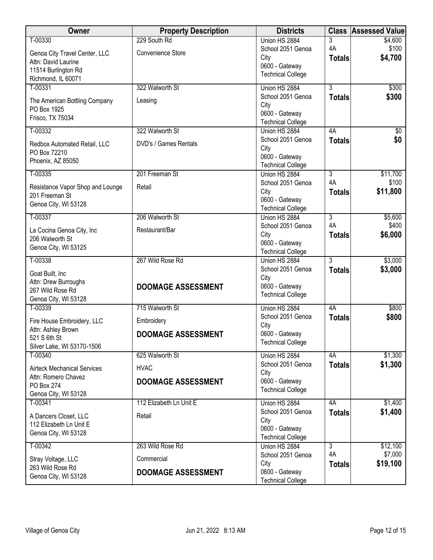| 229 South Rd<br>T-00330<br>Union HS 2884<br>3<br>4A<br>School 2051 Genoa                        | \$4,600          |
|-------------------------------------------------------------------------------------------------|------------------|
|                                                                                                 |                  |
| Genoa City Travel Center, LLC<br>Convenience Store                                              | \$100            |
| City<br><b>Totals</b><br>Attn: David Laurine<br>0600 - Gateway                                  | \$4,700          |
| 11514 Burlington Rd<br><b>Technical College</b>                                                 |                  |
| Richmond, IL 60071<br>322 Walworth St<br>$\overline{3}$                                         |                  |
| T-00331<br>Union HS 2884<br>School 2051 Genoa                                                   | \$300<br>\$300   |
| <b>Totals</b><br>The American Bottling Company<br>Leasing<br>City                               |                  |
| PO Box 1925<br>0600 - Gateway                                                                   |                  |
| Frisco, TX 75034<br><b>Technical College</b>                                                    |                  |
| 322 Walworth St<br>T-00332<br>4A<br>Union HS 2884                                               | $\sqrt{$0}$      |
| School 2051 Genoa<br><b>Totals</b><br>DVD's / Games Rentals<br>Redbox Automated Retail, LLC     | \$0              |
| City<br>PO Box 72210                                                                            |                  |
| 0600 - Gateway<br>Phoenix, AZ 85050<br><b>Technical College</b>                                 |                  |
| 201 Freeman St<br>T-00335<br>$\overline{3}$<br>Union HS 2884                                    | \$11,700         |
| 4A<br>School 2051 Genoa                                                                         | \$100            |
| Retail<br>Resistance Vapor Shop and Lounge<br>City<br><b>Totals</b><br>201 Freeman St           | \$11,800         |
| 0600 - Gateway<br>Genoa City, WI 53128                                                          |                  |
| <b>Technical College</b>                                                                        |                  |
| T-00337<br>206 Walworth St<br>Union HS 2884<br>$\overline{3}$<br>4A                             | \$5,600<br>\$400 |
| School 2051 Genoa<br>La Cocina Genoa City, Inc<br>Restaurant/Bar<br>City                        | \$6,000          |
| <b>Totals</b><br>206 Walworth St<br>0600 - Gateway                                              |                  |
| Genoa City, WI 53125<br><b>Technical College</b>                                                |                  |
| 267 Wild Rose Rd<br>3<br>T-00338<br>Union HS 2884                                               | \$3,000          |
| School 2051 Genoa<br><b>Totals</b><br>Goat Built, Inc                                           | \$3,000          |
| City<br>Attn: Drew Burroughs                                                                    |                  |
| 0600 - Gateway<br><b>DOOMAGE ASSESSMENT</b><br>267 Wild Rose Rd                                 |                  |
| <b>Technical College</b><br>Genoa City, WI 53128                                                |                  |
| 715 Walworth St<br>T-00339<br>Union HS 2884<br>4A                                               | \$800            |
| School 2051 Genoa<br><b>Totals</b><br>Fire House Embroidery, LLC<br>Embroidery                  | \$800            |
| City<br>Attn: Ashley Brown<br>0600 - Gateway                                                    |                  |
| <b>DOOMAGE ASSESSMENT</b><br>521 S 6th St<br><b>Technical College</b>                           |                  |
| Silver Lake, WI 53170-1506                                                                      |                  |
| 625 Walworth St<br>T-00340<br>4A<br>Union HS 2884                                               | \$1,300          |
| School 2051 Genoa<br><b>Totals</b><br><b>HVAC</b><br><b>Airteck Mechanical Services</b><br>City | \$1,300          |
| Attn: Romero Chavez<br>0600 - Gateway<br><b>DOOMAGE ASSESSMENT</b>                              |                  |
| PO Box 274<br><b>Technical College</b>                                                          |                  |
| Genoa City, WI 53128<br>T-00341<br>112 Elizabeth Ln Unit E<br>Union HS 2884<br>4A               | \$1,400          |
| School 2051 Genoa<br><b>Totals</b>                                                              | \$1,400          |
| A Dancers Closet, LLC<br>Retail<br>City                                                         |                  |
| 112 Elizabeth Ln Unit E<br>0600 - Gateway<br>Genoa City, WI 53128                               |                  |
| <b>Technical College</b>                                                                        |                  |
| $T-00342$<br>263 Wild Rose Rd<br>Union HS 2884<br>3                                             | \$12,100         |
| 4A<br>School 2051 Genoa<br>Commercial<br>Stray Voltage, LLC                                     | \$7,000          |
| City<br><b>Totals</b><br>263 Wild Rose Rd<br>0600 - Gateway<br><b>DOOMAGE ASSESSMENT</b>        | \$19,100         |
| Genoa City, WI 53128<br><b>Technical College</b>                                                |                  |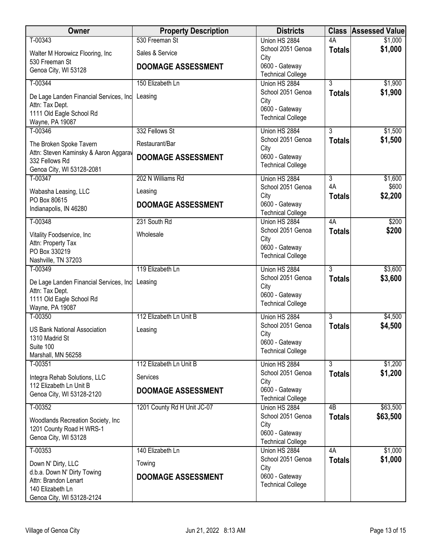| Owner                                                          | <b>Property Description</b> | <b>Districts</b>                           |                     | <b>Class Assessed Value</b> |
|----------------------------------------------------------------|-----------------------------|--------------------------------------------|---------------------|-----------------------------|
| T-00343                                                        | 530 Freeman St              | Union HS 2884                              | 4A                  | \$1,000                     |
| Walter M Horowicz Flooring, Inc                                | Sales & Service             | School 2051 Genoa<br>City                  | <b>Totals</b>       | \$1,000                     |
| 530 Freeman St<br>Genoa City, WI 53128                         | <b>DOOMAGE ASSESSMENT</b>   | 0600 - Gateway<br><b>Technical College</b> |                     |                             |
| T-00344                                                        | 150 Elizabeth Ln            | Union HS 2884                              | 3                   | \$1,900                     |
| De Lage Landen Financial Services, Inc                         | Leasing                     | School 2051 Genoa                          | <b>Totals</b>       | \$1,900                     |
| Attn: Tax Dept.                                                |                             | City<br>0600 - Gateway                     |                     |                             |
| 1111 Old Eagle School Rd<br>Wayne, PA 19087                    |                             | <b>Technical College</b>                   |                     |                             |
| T-00346                                                        | 332 Fellows St              | Union HS 2884                              | $\overline{3}$      | \$1,500                     |
| The Broken Spoke Tavern                                        | Restaurant/Bar              | School 2051 Genoa                          | <b>Totals</b>       | \$1,500                     |
| Attn: Steven Kaminsky & Aaron Aggarav                          | <b>DOOMAGE ASSESSMENT</b>   | City<br>0600 - Gateway                     |                     |                             |
| 332 Fellows Rd<br>Genoa City, WI 53128-2081                    |                             | <b>Technical College</b>                   |                     |                             |
| T-00347                                                        | 202 N Williams Rd           | Union HS 2884                              | $\overline{3}$      | \$1,600                     |
| Wabasha Leasing, LLC                                           | Leasing                     | School 2051 Genoa                          | 4A                  | \$600                       |
| PO Box 80615                                                   | <b>DOOMAGE ASSESSMENT</b>   | City<br>0600 - Gateway                     | <b>Totals</b>       | \$2,200                     |
| Indianapolis, IN 46280                                         |                             | <b>Technical College</b>                   |                     |                             |
| T-00348                                                        | 231 South Rd                | Union HS 2884                              | 4A                  | \$200                       |
| Vitality Foodservice, Inc                                      | Wholesale                   | School 2051 Genoa<br>City                  | <b>Totals</b>       | \$200                       |
| Attn: Property Tax<br>PO Box 330219                            |                             | 0600 - Gateway                             |                     |                             |
| Nashville, TN 37203                                            |                             | <b>Technical College</b>                   |                     |                             |
| T-00349                                                        | 119 Elizabeth Ln            | Union HS 2884                              | 3                   | \$3,600                     |
| De Lage Landen Financial Services, Inc                         | Leasing                     | School 2051 Genoa<br>City                  | <b>Totals</b>       | \$3,600                     |
| Attn: Tax Dept.<br>1111 Old Eagle School Rd                    |                             | 0600 - Gateway                             |                     |                             |
| Wayne, PA 19087                                                |                             | <b>Technical College</b>                   |                     |                             |
| T-00350                                                        | 112 Elizabeth Ln Unit B     | Union HS 2884                              | 3                   | \$4,500                     |
| <b>US Bank National Association</b>                            | Leasing                     | School 2051 Genoa<br>City                  | <b>Totals</b>       | \$4,500                     |
| 1310 Madrid St                                                 |                             | 0600 - Gateway                             |                     |                             |
| Suite 100<br>Marshall, MN 56258                                |                             | <b>Technical College</b>                   |                     |                             |
| T-00351                                                        | 112 Elizabeth Ln Unit B     | Union HS 2884                              | $\overline{3}$      | \$1,200                     |
| Integra Rehab Solutions, LLC                                   | Services                    | School 2051 Genoa<br>City                  | <b>Totals</b>       | \$1,200                     |
| 112 Elizabeth Ln Unit B                                        | <b>DOOMAGE ASSESSMENT</b>   | 0600 - Gateway                             |                     |                             |
| Genoa City, WI 53128-2120                                      |                             | <b>Technical College</b>                   |                     |                             |
| T-00352                                                        | 1201 County Rd H Unit JC-07 | Union HS 2884<br>School 2051 Genoa         | 4B<br><b>Totals</b> | \$63,500<br>\$63,500        |
| Woodlands Recreation Society, Inc.<br>1201 County Road H WRS-1 |                             | City                                       |                     |                             |
| Genoa City, WI 53128                                           |                             | 0600 - Gateway                             |                     |                             |
| T-00353                                                        | 140 Elizabeth Ln            | <b>Technical College</b><br>Union HS 2884  | 4A                  | \$1,000                     |
| Down N' Dirty, LLC                                             | Towing                      | School 2051 Genoa                          | <b>Totals</b>       | \$1,000                     |
| d.b.a. Down N' Dirty Towing                                    |                             | City<br>0600 - Gateway                     |                     |                             |
| Attn: Brandon Lenart                                           | <b>DOOMAGE ASSESSMENT</b>   | <b>Technical College</b>                   |                     |                             |
| 140 Elizabeth Ln<br>Genoa City, WI 53128-2124                  |                             |                                            |                     |                             |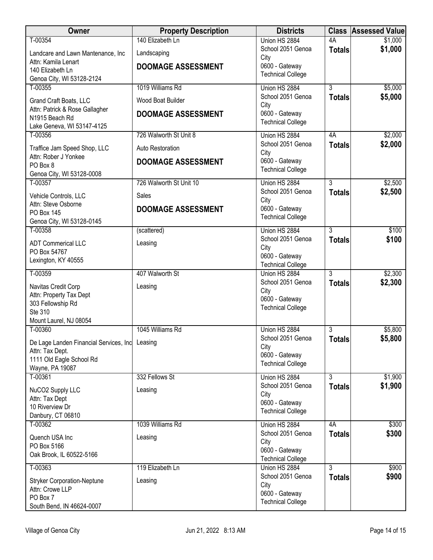| <b>Owner</b>                                                      | <b>Property Description</b> | <b>Districts</b>                           |                    | <b>Class Assessed Value</b> |
|-------------------------------------------------------------------|-----------------------------|--------------------------------------------|--------------------|-----------------------------|
| T-00354                                                           | 140 Elizabeth Ln            | Union HS 2884                              | 4A                 | \$1,000                     |
| Landcare and Lawn Mantenance, Inc                                 | Landscaping                 | School 2051 Genoa<br>City                  | <b>Totals</b>      | \$1,000                     |
| Attn: Kamila Lenart<br>140 Elizabeth Ln                           | <b>DOOMAGE ASSESSMENT</b>   | 0600 - Gateway                             |                    |                             |
| Genoa City, WI 53128-2124                                         |                             | <b>Technical College</b>                   |                    |                             |
| T-00355                                                           | 1019 Williams Rd            | Union HS 2884                              | $\overline{3}$     | \$5,000                     |
| Grand Craft Boats, LLC                                            | Wood Boat Builder           | School 2051 Genoa<br>City                  | <b>Totals</b>      | \$5,000                     |
| Attn: Patrick & Rose Gallagher                                    | <b>DOOMAGE ASSESSMENT</b>   | 0600 - Gateway                             |                    |                             |
| N1915 Beach Rd<br>Lake Geneva, WI 53147-4125                      |                             | <b>Technical College</b>                   |                    |                             |
| T-00356                                                           | 726 Walworth St Unit 8      | Union HS 2884                              | 4A                 | \$2,000                     |
| Traffice Jam Speed Shop, LLC                                      | Auto Restoration            | School 2051 Genoa                          | <b>Totals</b>      | \$2,000                     |
| Attn: Rober J Yonkee                                              | <b>DOOMAGE ASSESSMENT</b>   | City<br>0600 - Gateway                     |                    |                             |
| PO Box 8<br>Genoa City, WI 53128-0008                             |                             | <b>Technical College</b>                   |                    |                             |
| T-00357                                                           | 726 Walworth St Unit 10     | Union HS 2884                              | $\overline{3}$     | \$2,500                     |
| Vehicle Controls, LLC                                             | Sales                       | School 2051 Genoa                          | <b>Totals</b>      | \$2,500                     |
| Attn: Steve Osborne                                               | <b>DOOMAGE ASSESSMENT</b>   | City<br>0600 - Gateway                     |                    |                             |
| PO Box 145<br>Genoa City, WI 53128-0145                           |                             | <b>Technical College</b>                   |                    |                             |
| T-00358                                                           | (scattered)                 | Union HS 2884                              | $\overline{3}$     | \$100                       |
| <b>ADT Commerical LLC</b>                                         | Leasing                     | School 2051 Genoa                          | <b>Totals</b>      | \$100                       |
| PO Box 54767                                                      |                             | City<br>0600 - Gateway                     |                    |                             |
| Lexington, KY 40555                                               |                             | <b>Technical College</b>                   |                    |                             |
| T-00359                                                           | 407 Walworth St             | Union HS 2884                              | $\overline{3}$     | \$2,300                     |
| Navitas Credit Corp                                               | Leasing                     | School 2051 Genoa<br>City                  | <b>Totals</b>      | \$2,300                     |
| Attn: Property Tax Dept<br>303 Fellowship Rd                      |                             | 0600 - Gateway                             |                    |                             |
| Ste 310                                                           |                             | <b>Technical College</b>                   |                    |                             |
| Mount Laurel, NJ 08054                                            |                             |                                            |                    |                             |
| T-00360                                                           | 1045 Williams Rd            | Union HS 2884<br>School 2051 Genoa         | 3<br><b>Totals</b> | \$5,800<br>\$5,800          |
| De Lage Landen Financial Services, Inc Leasing<br>Attn: Tax Dept. |                             | City                                       |                    |                             |
| 1111 Old Eagle School Rd                                          |                             | 0600 - Gateway<br><b>Technical College</b> |                    |                             |
| Wayne, PA 19087                                                   |                             |                                            |                    |                             |
| T-00361                                                           | 332 Fellows St              | Union HS 2884<br>School 2051 Genoa         | 3<br><b>Totals</b> | \$1,900<br>\$1,900          |
| NuCO2 Supply LLC<br>Attn: Tax Dept                                | Leasing                     | City                                       |                    |                             |
| 10 Riverview Dr                                                   |                             | 0600 - Gateway                             |                    |                             |
| Danbury, CT 06810                                                 |                             | <b>Technical College</b>                   |                    |                             |
| T-00362                                                           | 1039 Williams Rd            | Union HS 2884<br>School 2051 Genoa         | 4A                 | \$300<br>\$300              |
| Quench USA Inc<br>PO Box 5166                                     | Leasing                     | City                                       | <b>Totals</b>      |                             |
| Oak Brook, IL 60522-5166                                          |                             | 0600 - Gateway                             |                    |                             |
| T-00363                                                           | 119 Elizabeth Ln            | <b>Technical College</b><br>Union HS 2884  | 3                  | \$900                       |
| <b>Stryker Corporation-Neptune</b>                                | Leasing                     | School 2051 Genoa                          | <b>Totals</b>      | \$900                       |
| Attn: Crowe LLP                                                   |                             | City                                       |                    |                             |
| PO Box 7                                                          |                             | 0600 - Gateway<br><b>Technical College</b> |                    |                             |
| South Bend, IN 46624-0007                                         |                             |                                            |                    |                             |